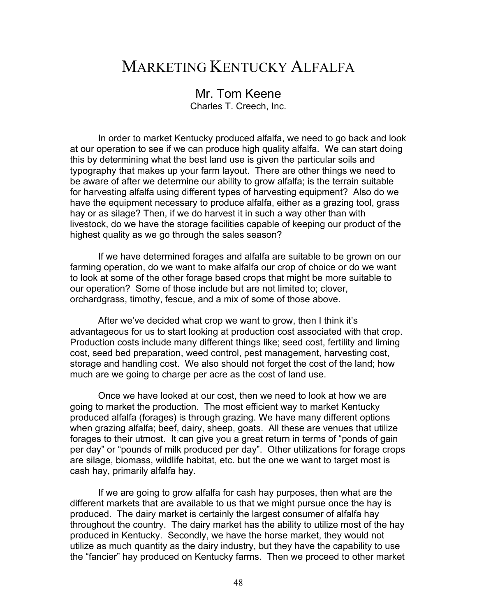## MARKETING KENTUCKY ALFALFA

## Mr. Tom Keene

Charles T. Creech, Inc.

In order to market Kentucky produced alfalfa, we need to go back and look at our operation to see if we can produce high quality alfalfa. We can start doing this by determining what the best land use is given the particular soils and typography that makes up your farm layout. There are other things we need to be aware of after we determine our ability to grow alfalfa; is the terrain suitable for harvesting alfalfa using different types of harvesting equipment? Also do we have the equipment necessary to produce alfalfa, either as a grazing tool, grass hay or as silage? Then, if we do harvest it in such a way other than with livestock, do we have the storage facilities capable of keeping our product of the highest quality as we go through the sales season?

If we have determined forages and alfalfa are suitable to be grown on our farming operation, do we want to make alfalfa our crop of choice or do we want to look at some of the other forage based crops that might be more suitable to our operation? Some of those include but are not limited to; clover, orchardgrass, timothy, fescue, and a mix of some of those above.

After we've decided what crop we want to grow, then I think it's advantageous for us to start looking at production cost associated with that crop. Production costs include many different things like; seed cost, fertility and liming cost, seed bed preparation, weed control, pest management, harvesting cost, storage and handling cost. We also should not forget the cost of the land; how much are we going to charge per acre as the cost of land use.

Once we have looked at our cost, then we need to look at how we are going to market the production. The most efficient way to market Kentucky produced alfalfa (forages) is through grazing. We have many different options when grazing alfalfa; beef, dairy, sheep, goats. All these are venues that utilize forages to their utmost. It can give you a great return in terms of "ponds of gain per day" or "pounds of milk produced per day". Other utilizations for forage crops are silage, biomass, wildlife habitat, etc. but the one we want to target most is cash hay, primarily alfalfa hay.

If we are going to grow alfalfa for cash hay purposes, then what are the different markets that are available to us that we might pursue once the hay is produced. The dairy market is certainly the largest consumer of alfalfa hay throughout the country. The dairy market has the ability to utilize most of the hay produced in Kentucky. Secondly, we have the horse market, they would not utilize as much quantity as the dairy industry, but they have the capability to use the "fancier" hay produced on Kentucky farms. Then we proceed to other market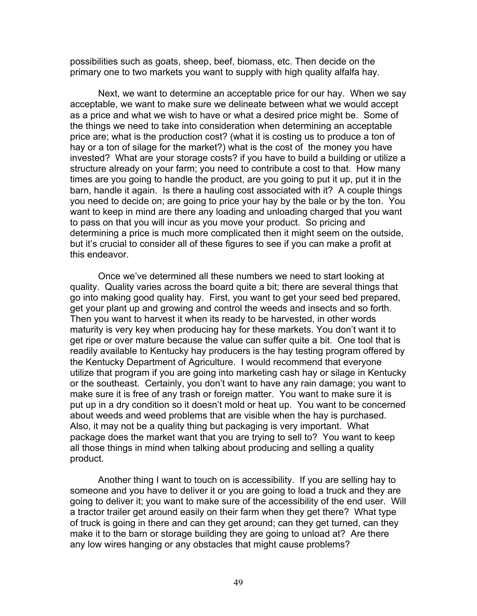possibilities such as goats, sheep, beef, biomass, etc. Then decide on the primary one to two markets you want to supply with high quality alfalfa hay.

Next, we want to determine an acceptable price for our hay. When we say acceptable, we want to make sure we delineate between what we would accept as a price and what we wish to have or what a desired price might be. Some of the things we need to take into consideration when determining an acceptable price are; what is the production cost? (what it is costing us to produce a ton of hay or a ton of silage for the market?) what is the cost of the money you have invested? What are your storage costs? if you have to build a building or utilize a structure already on your farm; you need to contribute a cost to that. How many times are you going to handle the product, are you going to put it up, put it in the barn, handle it again. Is there a hauling cost associated with it? A couple things you need to decide on; are going to price your hay by the bale or by the ton. You want to keep in mind are there any loading and unloading charged that you want to pass on that you will incur as you move your product. So pricing and determining a price is much more complicated then it might seem on the outside, but it's crucial to consider all of these figures to see if you can make a profit at this endeavor.

Once we've determined all these numbers we need to start looking at quality. Quality varies across the board quite a bit; there are several things that go into making good quality hay. First, you want to get your seed bed prepared, get your plant up and growing and control the weeds and insects and so forth. Then you want to harvest it when its ready to be harvested, in other words maturity is very key when producing hay for these markets. You don't want it to get ripe or over mature because the value can suffer quite a bit. One tool that is readily available to Kentucky hay producers is the hay testing program offered by the Kentucky Department of Agriculture. I would recommend that everyone utilize that program if you are going into marketing cash hay or silage in Kentucky or the southeast. Certainly, you don't want to have any rain damage; you want to make sure it is free of any trash or foreign matter. You want to make sure it is put up in a dry condition so it doesn't mold or heat up. You want to be concerned about weeds and weed problems that are visible when the hay is purchased. Also, it may not be a quality thing but packaging is very important. What package does the market want that you are trying to sell to? You want to keep all those things in mind when talking about producing and selling a quality product.

Another thing I want to touch on is accessibility. If you are selling hay to someone and you have to deliver it or you are going to load a truck and they are going to deliver it; you want to make sure of the accessibility of the end user. Will a tractor trailer get around easily on their farm when they get there? What type of truck is going in there and can they get around; can they get turned, can they make it to the barn or storage building they are going to unload at? Are there any low wires hanging or any obstacles that might cause problems?